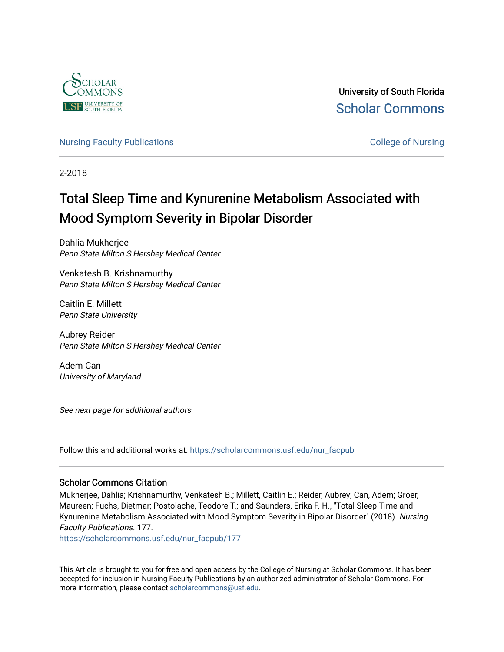

University of South Florida [Scholar Commons](https://scholarcommons.usf.edu/) 

[Nursing Faculty Publications](https://scholarcommons.usf.edu/nur_facpub) **College of Nursing** 

2-2018

# Total Sleep Time and Kynurenine Metabolism Associated with Mood Symptom Severity in Bipolar Disorder

Dahlia Mukherjee Penn State Milton S Hershey Medical Center

Venkatesh B. Krishnamurthy Penn State Milton S Hershey Medical Center

Caitlin E. Millett Penn State University

Aubrey Reider Penn State Milton S Hershey Medical Center

Adem Can University of Maryland

See next page for additional authors

Follow this and additional works at: [https://scholarcommons.usf.edu/nur\\_facpub](https://scholarcommons.usf.edu/nur_facpub?utm_source=scholarcommons.usf.edu%2Fnur_facpub%2F177&utm_medium=PDF&utm_campaign=PDFCoverPages) 

# Scholar Commons Citation

Mukherjee, Dahlia; Krishnamurthy, Venkatesh B.; Millett, Caitlin E.; Reider, Aubrey; Can, Adem; Groer, Maureen; Fuchs, Dietmar; Postolache, Teodore T.; and Saunders, Erika F. H., "Total Sleep Time and Kynurenine Metabolism Associated with Mood Symptom Severity in Bipolar Disorder" (2018). Nursing Faculty Publications. 177.

[https://scholarcommons.usf.edu/nur\\_facpub/177](https://scholarcommons.usf.edu/nur_facpub/177?utm_source=scholarcommons.usf.edu%2Fnur_facpub%2F177&utm_medium=PDF&utm_campaign=PDFCoverPages) 

This Article is brought to you for free and open access by the College of Nursing at Scholar Commons. It has been accepted for inclusion in Nursing Faculty Publications by an authorized administrator of Scholar Commons. For more information, please contact [scholarcommons@usf.edu](mailto:scholarcommons@usf.edu).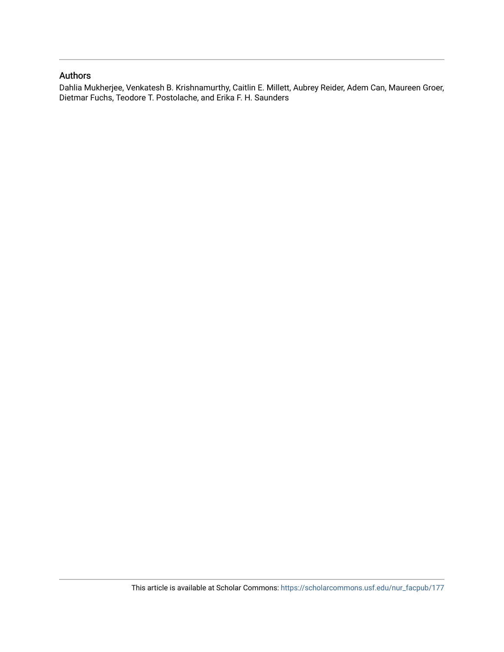# Authors

Dahlia Mukherjee, Venkatesh B. Krishnamurthy, Caitlin E. Millett, Aubrey Reider, Adem Can, Maureen Groer, Dietmar Fuchs, Teodore T. Postolache, and Erika F. H. Saunders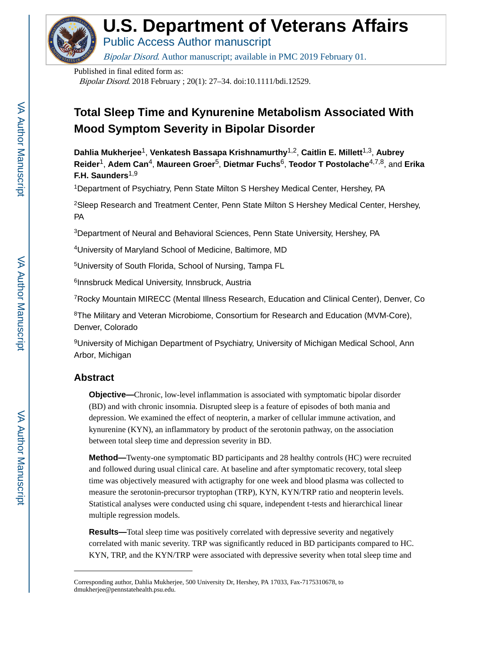

# **U.S. Department of Veterans Affairs**

Public Access Author manuscript

Bipolar Disord. Author manuscript; available in PMC 2019 February 01.

Published in final edited form as:

Bipolar Disord. 2018 February ; 20(1): 27–34. doi:10.1111/bdi.12529.

# **Total Sleep Time and Kynurenine Metabolism Associated With Mood Symptom Severity in Bipolar Disorder**

**Dahlia Mukherjee**1, **Venkatesh Bassapa Krishnamurthy**1,2, **Caitlin E. Millett**1,3, **Aubrey Reider**1, **Adem Can**4, **Maureen Groer**5, **Dietmar Fuchs**6, **Teodor T Postolache**4,7,8, and **Erika F.H. Saunders**1,9

<sup>1</sup>Department of Psychiatry, Penn State Milton S Hershey Medical Center, Hershey, PA

<sup>2</sup>Sleep Research and Treatment Center, Penn State Milton S Hershey Medical Center, Hershey, PA

<sup>3</sup>Department of Neural and Behavioral Sciences, Penn State University, Hershey, PA

<sup>4</sup>University of Maryland School of Medicine, Baltimore, MD

<sup>5</sup>University of South Florida, School of Nursing, Tampa FL

<sup>6</sup>Innsbruck Medical University, Innsbruck, Austria

<sup>7</sup>Rocky Mountain MIRECC (Mental Illness Research, Education and Clinical Center), Denver, Co

<sup>8</sup>The Military and Veteran Microbiome, Consortium for Research and Education (MVM-Core), Denver, Colorado

<sup>9</sup>University of Michigan Department of Psychiatry, University of Michigan Medical School, Ann Arbor, Michigan

# **Abstract**

**Objective—**Chronic, low-level inflammation is associated with symptomatic bipolar disorder (BD) and with chronic insomnia. Disrupted sleep is a feature of episodes of both mania and depression. We examined the effect of neopterin, a marker of cellular immune activation, and kynurenine (KYN), an inflammatory by product of the serotonin pathway, on the association between total sleep time and depression severity in BD.

**Method—**Twenty-one symptomatic BD participants and 28 healthy controls (HC) were recruited and followed during usual clinical care. At baseline and after symptomatic recovery, total sleep time was objectively measured with actigraphy for one week and blood plasma was collected to measure the serotonin-precursor tryptophan (TRP), KYN, KYN/TRP ratio and neopterin levels. Statistical analyses were conducted using chi square, independent t-tests and hierarchical linear multiple regression models.

**Results—**Total sleep time was positively correlated with depressive severity and negatively correlated with manic severity. TRP was significantly reduced in BD participants compared to HC. KYN, TRP, and the KYN/TRP were associated with depressive severity when total sleep time and

Corresponding author, Dahlia Mukherjee, 500 University Dr, Hershey, PA 17033, Fax-7175310678, to dmukherjee@pennstatehealth.psu.edu.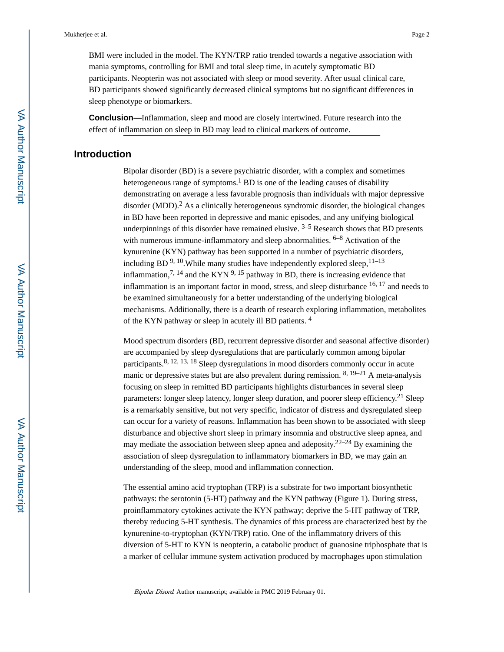BMI were included in the model. The KYN/TRP ratio trended towards a negative association with mania symptoms, controlling for BMI and total sleep time, in acutely symptomatic BD participants. Neopterin was not associated with sleep or mood severity. After usual clinical care, BD participants showed significantly decreased clinical symptoms but no significant differences in sleep phenotype or biomarkers.

**Conclusion—**Inflammation, sleep and mood are closely intertwined. Future research into the effect of inflammation on sleep in BD may lead to clinical markers of outcome.

# **Introduction**

Bipolar disorder (BD) is a severe psychiatric disorder, with a complex and sometimes heterogeneous range of symptoms.<sup>1</sup> BD is one of the leading causes of disability demonstrating on average a less favorable prognosis than individuals with major depressive disorder (MDD).<sup>2</sup> As a clinically heterogeneous syndromic disorder, the biological changes in BD have been reported in depressive and manic episodes, and any unifying biological underpinnings of this disorder have remained elusive.  $3-5$  Research shows that BD presents with numerous immune-inflammatory and sleep abnormalities. <sup>6-8</sup> Activation of the kynurenine (KYN) pathway has been supported in a number of psychiatric disorders, including BD  $9, 10$ . While many studies have independently explored sleep,  $11-13$ inflammation,  $7^{7}$ ,  $^{14}$  and the KYN  $^{9}$ ,  $^{15}$  pathway in BD, there is increasing evidence that inflammation is an important factor in mood, stress, and sleep disturbance 16, 17 and needs to be examined simultaneously for a better understanding of the underlying biological mechanisms. Additionally, there is a dearth of research exploring inflammation, metabolites of the KYN pathway or sleep in acutely ill BD patients. <sup>4</sup>

Mood spectrum disorders (BD, recurrent depressive disorder and seasonal affective disorder) are accompanied by sleep dysregulations that are particularly common among bipolar participants.8, 12, 13, 18 Sleep dysregulations in mood disorders commonly occur in acute manic or depressive states but are also prevalent during remission. 8, 19–21 A meta-analysis focusing on sleep in remitted BD participants highlights disturbances in several sleep parameters: longer sleep latency, longer sleep duration, and poorer sleep efficiency.<sup>21</sup> Sleep is a remarkably sensitive, but not very specific, indicator of distress and dysregulated sleep can occur for a variety of reasons. Inflammation has been shown to be associated with sleep disturbance and objective short sleep in primary insomnia and obstructive sleep apnea, and may mediate the association between sleep apnea and adeposity.22–24 By examining the association of sleep dysregulation to inflammatory biomarkers in BD, we may gain an understanding of the sleep, mood and inflammation connection.

The essential amino acid tryptophan (TRP) is a substrate for two important biosynthetic pathways: the serotonin (5-HT) pathway and the KYN pathway (Figure 1). During stress, proinflammatory cytokines activate the KYN pathway; deprive the 5-HT pathway of TRP, thereby reducing 5-HT synthesis. The dynamics of this process are characterized best by the kynurenine-to-tryptophan (KYN/TRP) ratio. One of the inflammatory drivers of this diversion of 5-HT to KYN is neopterin, a catabolic product of guanosine triphosphate that is a marker of cellular immune system activation produced by macrophages upon stimulation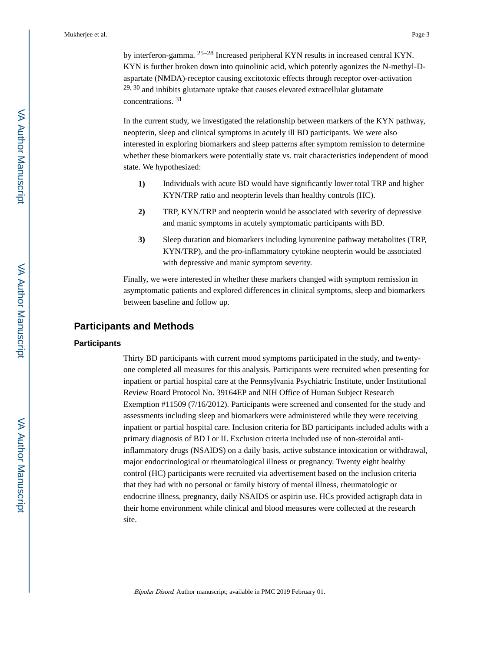by interferon-gamma. 25–28 Increased peripheral KYN results in increased central KYN. KYN is further broken down into quinolinic acid, which potently agonizes the N-methyl-Daspartate (NMDA)-receptor causing excitotoxic effects through receptor over-activation  $29, 30$  and inhibits glutamate uptake that causes elevated extracellular glutamate concentrations. <sup>31</sup>

In the current study, we investigated the relationship between markers of the KYN pathway, neopterin, sleep and clinical symptoms in acutely ill BD participants. We were also interested in exploring biomarkers and sleep patterns after symptom remission to determine whether these biomarkers were potentially state vs. trait characteristics independent of mood state. We hypothesized:

- **1)** Individuals with acute BD would have significantly lower total TRP and higher KYN/TRP ratio and neopterin levels than healthy controls (HC).
- **2)** TRP, KYN/TRP and neopterin would be associated with severity of depressive and manic symptoms in acutely symptomatic participants with BD.
- **3)** Sleep duration and biomarkers including kynurenine pathway metabolites (TRP, KYN/TRP), and the pro-inflammatory cytokine neopterin would be associated with depressive and manic symptom severity.

Finally, we were interested in whether these markers changed with symptom remission in asymptomatic patients and explored differences in clinical symptoms, sleep and biomarkers between baseline and follow up.

# **Participants and Methods**

#### **Participants**

Thirty BD participants with current mood symptoms participated in the study, and twentyone completed all measures for this analysis. Participants were recruited when presenting for inpatient or partial hospital care at the Pennsylvania Psychiatric Institute, under Institutional Review Board Protocol No. 39164EP and NIH Office of Human Subject Research Exemption #11509 (7/16/2012). Participants were screened and consented for the study and assessments including sleep and biomarkers were administered while they were receiving inpatient or partial hospital care. Inclusion criteria for BD participants included adults with a primary diagnosis of BD I or II. Exclusion criteria included use of non-steroidal antiinflammatory drugs (NSAIDS) on a daily basis, active substance intoxication or withdrawal, major endocrinological or rheumatological illness or pregnancy. Twenty eight healthy control (HC) participants were recruited via advertisement based on the inclusion criteria that they had with no personal or family history of mental illness, rheumatologic or endocrine illness, pregnancy, daily NSAIDS or aspirin use. HCs provided actigraph data in their home environment while clinical and blood measures were collected at the research site.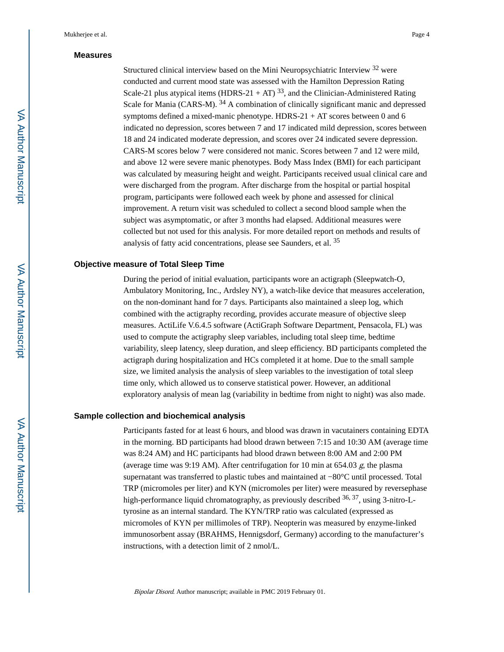#### **Measures**

Structured clinical interview based on the Mini Neuropsychiatric Interview 32 were conducted and current mood state was assessed with the Hamilton Depression Rating Scale-21 plus atypical items (HDRS-21 + AT)  $^{33}$ , and the Clinician-Administered Rating Scale for Mania (CARS-M). <sup>34</sup> A combination of clinically significant manic and depressed symptoms defined a mixed-manic phenotype.  $HDRS-21 + AT$  scores between 0 and 6 indicated no depression, scores between 7 and 17 indicated mild depression, scores between 18 and 24 indicated moderate depression, and scores over 24 indicated severe depression. CARS-M scores below 7 were considered not manic. Scores between 7 and 12 were mild, and above 12 were severe manic phenotypes. Body Mass Index (BMI) for each participant was calculated by measuring height and weight. Participants received usual clinical care and were discharged from the program. After discharge from the hospital or partial hospital program, participants were followed each week by phone and assessed for clinical improvement. A return visit was scheduled to collect a second blood sample when the subject was asymptomatic, or after 3 months had elapsed. Additional measures were collected but not used for this analysis. For more detailed report on methods and results of analysis of fatty acid concentrations, please see Saunders, et al. <sup>35</sup>

#### **Objective measure of Total Sleep Time**

During the period of initial evaluation, participants wore an actigraph (Sleepwatch-O, Ambulatory Monitoring, Inc., Ardsley NY), a watch-like device that measures acceleration, on the non-dominant hand for 7 days. Participants also maintained a sleep log, which combined with the actigraphy recording, provides accurate measure of objective sleep measures. ActiLife V.6.4.5 software (ActiGraph Software Department, Pensacola, FL) was used to compute the actigraphy sleep variables, including total sleep time, bedtime variability, sleep latency, sleep duration, and sleep efficiency. BD participants completed the actigraph during hospitalization and HCs completed it at home. Due to the small sample size, we limited analysis the analysis of sleep variables to the investigation of total sleep time only, which allowed us to conserve statistical power. However, an additional exploratory analysis of mean lag (variability in bedtime from night to night) was also made.

#### **Sample collection and biochemical analysis**

Participants fasted for at least 6 hours, and blood was drawn in vacutainers containing EDTA in the morning. BD participants had blood drawn between 7:15 and 10:30 AM (average time was 8:24 AM) and HC participants had blood drawn between 8:00 AM and 2:00 PM (average time was 9:19 AM). After centrifugation for 10 min at 654.03 g, the plasma supernatant was transferred to plastic tubes and maintained at −80°C until processed. Total TRP (micromoles per liter) and KYN (micromoles per liter) were measured by reversephase high-performance liquid chromatography, as previously described <sup>36, 37</sup>, using 3-nitro-Ltyrosine as an internal standard. The KYN/TRP ratio was calculated (expressed as micromoles of KYN per millimoles of TRP). Neopterin was measured by enzyme-linked immunosorbent assay (BRAHMS, Hennigsdorf, Germany) according to the manufacturer's instructions, with a detection limit of 2 nmol/L.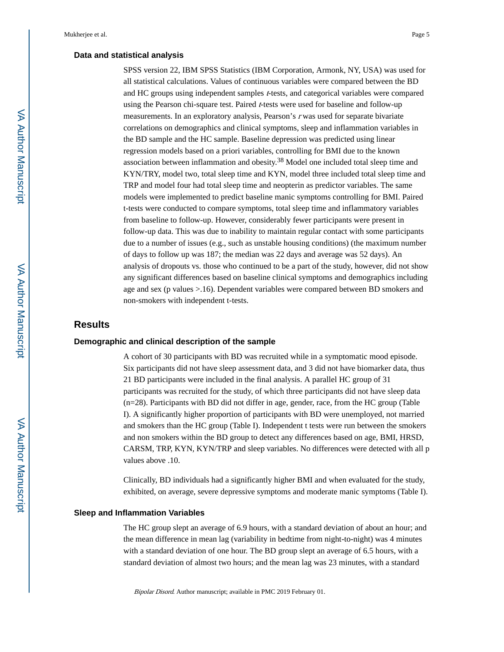#### **Data and statistical analysis**

SPSS version 22, IBM SPSS Statistics (IBM Corporation, Armonk, NY, USA) was used for all statistical calculations. Values of continuous variables were compared between the BD and HC groups using independent samples  $t$ -tests, and categorical variables were compared using the Pearson chi-square test. Paired t-tests were used for baseline and follow-up measurements. In an exploratory analysis, Pearson's r was used for separate bivariate correlations on demographics and clinical symptoms, sleep and inflammation variables in the BD sample and the HC sample. Baseline depression was predicted using linear regression models based on a priori variables, controlling for BMI due to the known association between inflammation and obesity.38 Model one included total sleep time and KYN/TRY, model two, total sleep time and KYN, model three included total sleep time and TRP and model four had total sleep time and neopterin as predictor variables. The same models were implemented to predict baseline manic symptoms controlling for BMI. Paired t-tests were conducted to compare symptoms, total sleep time and inflammatory variables from baseline to follow-up. However, considerably fewer participants were present in follow-up data. This was due to inability to maintain regular contact with some participants due to a number of issues (e.g., such as unstable housing conditions) (the maximum number of days to follow up was 187; the median was 22 days and average was 52 days). An analysis of dropouts vs. those who continued to be a part of the study, however, did not show any significant differences based on baseline clinical symptoms and demographics including age and sex (p values >.16). Dependent variables were compared between BD smokers and non-smokers with independent t-tests.

#### **Results**

#### **Demographic and clinical description of the sample**

A cohort of 30 participants with BD was recruited while in a symptomatic mood episode. Six participants did not have sleep assessment data, and 3 did not have biomarker data, thus 21 BD participants were included in the final analysis. A parallel HC group of 31 participants was recruited for the study, of which three participants did not have sleep data (n=28). Participants with BD did not differ in age, gender, race, from the HC group (Table I). A significantly higher proportion of participants with BD were unemployed, not married and smokers than the HC group (Table I). Independent t tests were run between the smokers and non smokers within the BD group to detect any differences based on age, BMI, HRSD, CARSM, TRP, KYN, KYN/TRP and sleep variables. No differences were detected with all p values above .10.

Clinically, BD individuals had a significantly higher BMI and when evaluated for the study, exhibited, on average, severe depressive symptoms and moderate manic symptoms (Table I).

#### **Sleep and Inflammation Variables**

The HC group slept an average of 6.9 hours, with a standard deviation of about an hour; and the mean difference in mean lag (variability in bedtime from night-to-night) was 4 minutes with a standard deviation of one hour. The BD group slept an average of 6.5 hours, with a standard deviation of almost two hours; and the mean lag was 23 minutes, with a standard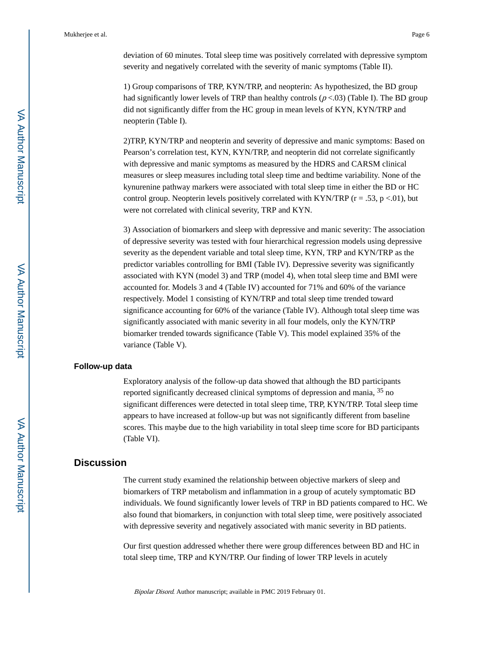deviation of 60 minutes. Total sleep time was positively correlated with depressive symptom severity and negatively correlated with the severity of manic symptoms (Table II).

1) Group comparisons of TRP, KYN/TRP, and neopterin: As hypothesized, the BD group had significantly lower levels of TRP than healthy controls  $(p < .03)$  (Table I). The BD group did not significantly differ from the HC group in mean levels of KYN, KYN/TRP and neopterin (Table I).

2)TRP, KYN/TRP and neopterin and severity of depressive and manic symptoms: Based on Pearson's correlation test, KYN, KYN/TRP, and neopterin did not correlate significantly with depressive and manic symptoms as measured by the HDRS and CARSM clinical measures or sleep measures including total sleep time and bedtime variability. None of the kynurenine pathway markers were associated with total sleep time in either the BD or HC control group. Neopterin levels positively correlated with KYN/TRP ( $r = .53$ ,  $p < .01$ ), but were not correlated with clinical severity, TRP and KYN.

3) Association of biomarkers and sleep with depressive and manic severity: The association of depressive severity was tested with four hierarchical regression models using depressive severity as the dependent variable and total sleep time, KYN, TRP and KYN/TRP as the predictor variables controlling for BMI (Table IV). Depressive severity was significantly associated with KYN (model 3) and TRP (model 4), when total sleep time and BMI were accounted for. Models 3 and 4 (Table IV) accounted for 71% and 60% of the variance respectively. Model 1 consisting of KYN/TRP and total sleep time trended toward significance accounting for 60% of the variance (Table IV). Although total sleep time was significantly associated with manic severity in all four models, only the KYN/TRP biomarker trended towards significance (Table V). This model explained 35% of the variance (Table V).

#### **Follow-up data**

Exploratory analysis of the follow-up data showed that although the BD participants reported significantly decreased clinical symptoms of depression and mania, <sup>35</sup> no significant differences were detected in total sleep time, TRP, KYN/TRP. Total sleep time appears to have increased at follow-up but was not significantly different from baseline scores. This maybe due to the high variability in total sleep time score for BD participants (Table VI).

## **Discussion**

The current study examined the relationship between objective markers of sleep and biomarkers of TRP metabolism and inflammation in a group of acutely symptomatic BD individuals. We found significantly lower levels of TRP in BD patients compared to HC. We also found that biomarkers, in conjunction with total sleep time, were positively associated with depressive severity and negatively associated with manic severity in BD patients.

Our first question addressed whether there were group differences between BD and HC in total sleep time, TRP and KYN/TRP. Our finding of lower TRP levels in acutely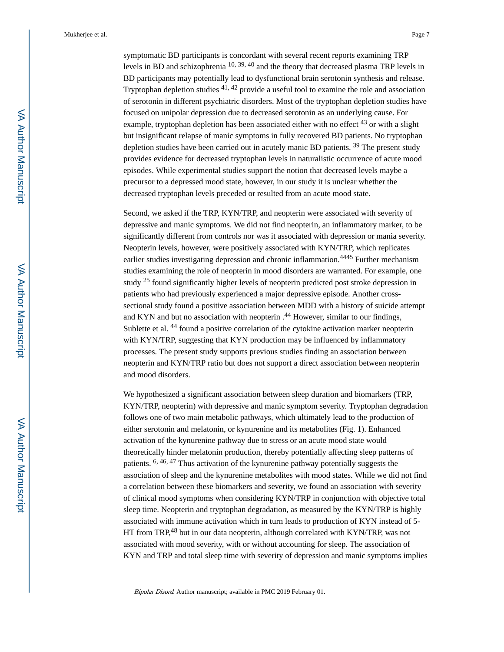symptomatic BD participants is concordant with several recent reports examining TRP levels in BD and schizophrenia 10, 39, 40 and the theory that decreased plasma TRP levels in BD participants may potentially lead to dysfunctional brain serotonin synthesis and release. Tryptophan depletion studies 41, 42 provide a useful tool to examine the role and association of serotonin in different psychiatric disorders. Most of the tryptophan depletion studies have focused on unipolar depression due to decreased serotonin as an underlying cause. For example, tryptophan depletion has been associated either with no effect  $^{43}$  or with a slight but insignificant relapse of manic symptoms in fully recovered BD patients. No tryptophan depletion studies have been carried out in acutely manic BD patients. 39 The present study provides evidence for decreased tryptophan levels in naturalistic occurrence of acute mood episodes. While experimental studies support the notion that decreased levels maybe a precursor to a depressed mood state, however, in our study it is unclear whether the decreased tryptophan levels preceded or resulted from an acute mood state.

Second, we asked if the TRP, KYN/TRP, and neopterin were associated with severity of depressive and manic symptoms. We did not find neopterin, an inflammatory marker, to be significantly different from controls nor was it associated with depression or mania severity. Neopterin levels, however, were positively associated with KYN/TRP, which replicates earlier studies investigating depression and chronic inflammation.<sup>4445</sup> Further mechanism studies examining the role of neopterin in mood disorders are warranted. For example, one study 25 found significantly higher levels of neopterin predicted post stroke depression in patients who had previously experienced a major depressive episode. Another crosssectional study found a positive association between MDD with a history of suicide attempt and KYN and but no association with neopterin .<sup>44</sup> However, similar to our findings, Sublette et al. 44 found a positive correlation of the cytokine activation marker neopterin with KYN/TRP, suggesting that KYN production may be influenced by inflammatory processes. The present study supports previous studies finding an association between neopterin and KYN/TRP ratio but does not support a direct association between neopterin and mood disorders.

We hypothesized a significant association between sleep duration and biomarkers (TRP, KYN/TRP, neopterin) with depressive and manic symptom severity. Tryptophan degradation follows one of two main metabolic pathways, which ultimately lead to the production of either serotonin and melatonin, or kynurenine and its metabolites (Fig. 1). Enhanced activation of the kynurenine pathway due to stress or an acute mood state would theoretically hinder melatonin production, thereby potentially affecting sleep patterns of patients. 6, 46, 47 Thus activation of the kynurenine pathway potentially suggests the association of sleep and the kynurenine metabolites with mood states. While we did not find a correlation between these biomarkers and severity, we found an association with severity of clinical mood symptoms when considering KYN/TRP in conjunction with objective total sleep time. Neopterin and tryptophan degradation, as measured by the KYN/TRP is highly associated with immune activation which in turn leads to production of KYN instead of 5- HT from TRP,48 but in our data neopterin, although correlated with KYN/TRP, was not associated with mood severity, with or without accounting for sleep. The association of KYN and TRP and total sleep time with severity of depression and manic symptoms implies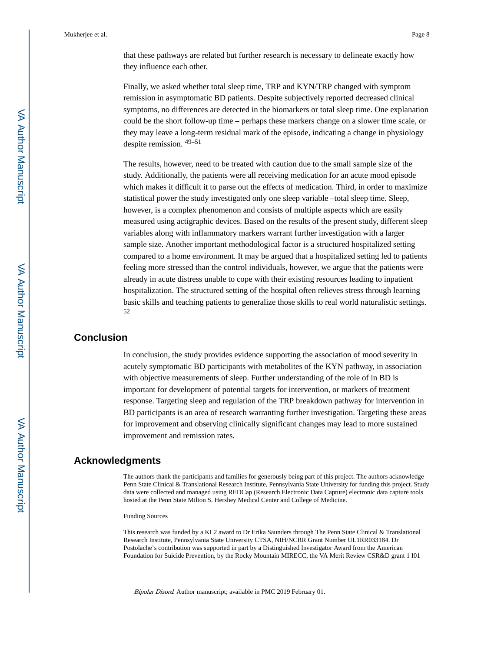that these pathways are related but further research is necessary to delineate exactly how they influence each other.

Finally, we asked whether total sleep time, TRP and KYN/TRP changed with symptom remission in asymptomatic BD patients. Despite subjectively reported decreased clinical symptoms, no differences are detected in the biomarkers or total sleep time. One explanation could be the short follow-up time – perhaps these markers change on a slower time scale, or they may leave a long-term residual mark of the episode, indicating a change in physiology despite remission. 49–51

The results, however, need to be treated with caution due to the small sample size of the study. Additionally, the patients were all receiving medication for an acute mood episode which makes it difficult it to parse out the effects of medication. Third, in order to maximize statistical power the study investigated only one sleep variable –total sleep time. Sleep, however, is a complex phenomenon and consists of multiple aspects which are easily measured using actigraphic devices. Based on the results of the present study, different sleep variables along with inflammatory markers warrant further investigation with a larger sample size. Another important methodological factor is a structured hospitalized setting compared to a home environment. It may be argued that a hospitalized setting led to patients feeling more stressed than the control individuals, however, we argue that the patients were already in acute distress unable to cope with their existing resources leading to inpatient hospitalization. The structured setting of the hospital often relieves stress through learning basic skills and teaching patients to generalize those skills to real world naturalistic settings. 52

# **Conclusion**

In conclusion, the study provides evidence supporting the association of mood severity in acutely symptomatic BD participants with metabolites of the KYN pathway, in association with objective measurements of sleep. Further understanding of the role of in BD is important for development of potential targets for intervention, or markers of treatment response. Targeting sleep and regulation of the TRP breakdown pathway for intervention in BD participants is an area of research warranting further investigation. Targeting these areas for improvement and observing clinically significant changes may lead to more sustained improvement and remission rates.

## **Acknowledgments**

The authors thank the participants and families for generously being part of this project. The authors acknowledge Penn State Clinical & Translational Research Institute, Pennsylvania State University for funding this project. Study data were collected and managed using REDCap (Research Electronic Data Capture) electronic data capture tools hosted at the Penn State Milton S. Hershey Medical Center and College of Medicine.

#### Funding Sources

This research was funded by a KL2 award to Dr Erika Saunders through The Penn State Clinical & Translational Research Institute, Pennsylvania State University CTSA, NIH/NCRR Grant Number UL1RR033184. Dr Postolache's contribution was supported in part by a Distinguished Investigator Award from the American Foundation for Suicide Prevention, by the Rocky Mountain MIRECC, the VA Merit Review CSR&D grant 1 I01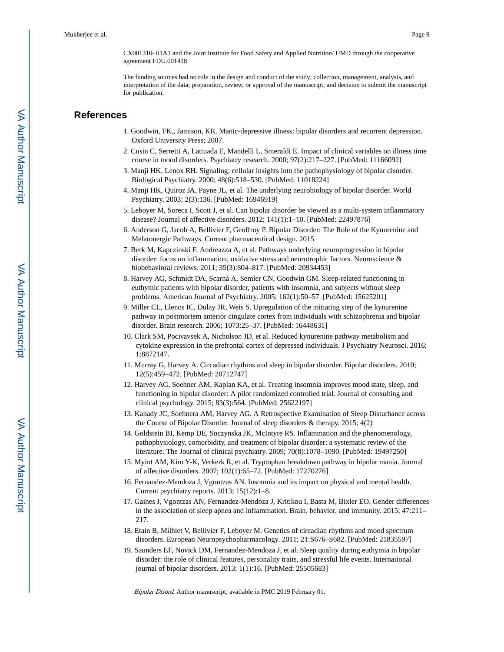CX001310- 01A1 and the Joint Institute for Food Safety and Applied Nutrition/ UMD through the cooperative agreement FDU.001418

The funding sources had no role in the design and conduct of the study; collection, management, analysis, and interpretation of the data; preparation, review, or approval of the manuscript; and decision to submit the manuscript for publication.

# **References**

- 1. Goodwin, FK., Jamison, KR. Manic-depressive illness: bipolar disorders and recurrent depression. Oxford University Press; 2007.
- 2. Cusin C, Serretti A, Lattuada E, Mandelli L, Smeraldi E. Impact of clinical variables on illness time course in mood disorders. Psychiatry research. 2000; 97(2):217–227. [PubMed: 11166092]
- 3. Manji HK, Lenox RH. Signaling: cellular insights into the pathophysiology of bipolar disorder. Biological Psychiatry. 2000; 48(6):518–530. [PubMed: 11018224]
- 4. Manji HK, Quiroz JA, Payne JL, et al. The underlying neurobiology of bipolar disorder. World Psychiatry. 2003; 2(3):136. [PubMed: 16946919]
- 5. Leboyer M, Soreca I, Scott J, et al. Can bipolar disorder be viewed as a multi-system inflammatory disease? Journal of affective disorders. 2012; 141(1):1–10. [PubMed: 22497876]
- 6. Anderson G, Jacob A, Bellivier F, Geoffroy P. Bipolar Disorder: The Role of the Kynurenine and Melatonergic Pathways. Current pharmaceutical design. 2015
- 7. Berk M, Kapczinski F, Andreazza A, et al. Pathways underlying neuroprogression in bipolar disorder: focus on inflammation, oxidative stress and neurotrophic factors. Neuroscience & biobehavioral reviews. 2011; 35(3):804–817. [PubMed: 20934453]
- 8. Harvey AG, Schmidt DA, Scarnà A, Semler CN, Goodwin GM. Sleep-related functioning in euthymic patients with bipolar disorder, patients with insomnia, and subjects without sleep problems. American Journal of Psychiatry. 2005; 162(1):50–57. [PubMed: 15625201]
- 9. Miller CL, Llenos IC, Dulay JR, Weis S. Upregulation of the initiating step of the kynurenine pathway in postmortem anterior cingulate cortex from individuals with schizophrenia and bipolar disorder. Brain research. 2006; 1073:25–37. [PubMed: 16448631]
- 10. Clark SM, Pocivavsek A, Nicholson JD, et al. Reduced kynurenine pathway metabolism and cytokine expression in the prefrontal cortex of depressed individuals. J Psychiatry Neurosci. 2016; 1:8872147.
- 11. Murray G, Harvey A. Circadian rhythms and sleep in bipolar disorder. Bipolar disorders. 2010; 12(5):459–472. [PubMed: 20712747]
- 12. Harvey AG, Soehner AM, Kaplan KA, et al. Treating insomnia improves mood state, sleep, and functioning in bipolar disorder: A pilot randomized controlled trial. Journal of consulting and clinical psychology. 2015; 83(3):564. [PubMed: 25622197]
- 13. Kanady JC, Soehnera AM, Harvey AG. A Retrospective Examination of Sleep Disturbance across the Course of Bipolar Disorder. Journal of sleep disorders & therapy. 2015; 4(2)
- 14. Goldstein BI, Kemp DE, Soczynska JK, McIntyre RS. Inflammation and the phenomenology, pathophysiology, comorbidity, and treatment of bipolar disorder: a systematic review of the literature. The Journal of clinical psychiatry. 2009; 70(8):1078–1090. [PubMed: 19497250]
- 15. Myint AM, Kim Y-K, Verkerk R, et al. Tryptophan breakdown pathway in bipolar mania. Journal of affective disorders. 2007; 102(1):65–72. [PubMed: 17270276]
- 16. Fernandez-Mendoza J, Vgontzas AN. Insomnia and its impact on physical and mental health. Current psychiatry reports. 2013; 15(12):1–8.
- 17. Gaines J, Vgontzas AN, Fernandez-Mendoza J, Kritikou I, Basta M, Bixler EO. Gender differences in the association of sleep apnea and inflammation. Brain, behavior, and immunity. 2015; 47:211– 217.
- 18. Etain B, Milhiet V, Bellivier F, Leboyer M. Genetics of circadian rhythms and mood spectrum disorders. European Neuropsychopharmacology. 2011; 21:S676–S682. [PubMed: 21835597]
- 19. Saunders EF, Novick DM, Fernandez-Mendoza J, et al. Sleep quality during euthymia in bipolar disorder: the role of clinical features, personality traits, and stressful life events. International journal of bipolar disorders. 2013; 1(1):16. [PubMed: 25505683]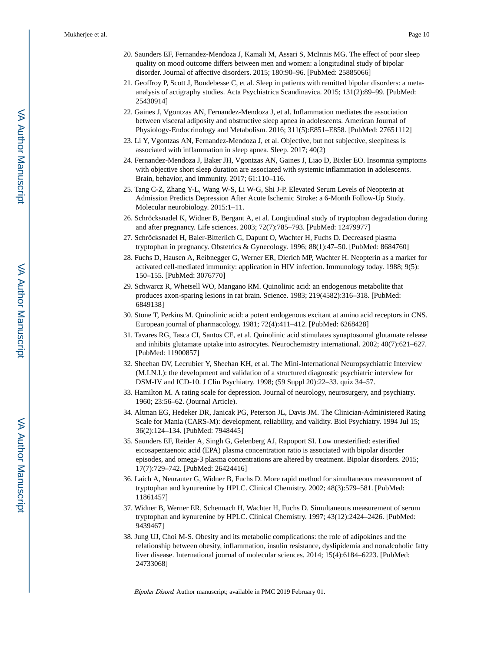- 20. Saunders EF, Fernandez-Mendoza J, Kamali M, Assari S, McInnis MG. The effect of poor sleep quality on mood outcome differs between men and women: a longitudinal study of bipolar disorder. Journal of affective disorders. 2015; 180:90–96. [PubMed: 25885066]
- 21. Geoffroy P, Scott J, Boudebesse C, et al. Sleep in patients with remitted bipolar disorders: a metaanalysis of actigraphy studies. Acta Psychiatrica Scandinavica. 2015; 131(2):89–99. [PubMed: 25430914]
- 22. Gaines J, Vgontzas AN, Fernandez-Mendoza J, et al. Inflammation mediates the association between visceral adiposity and obstructive sleep apnea in adolescents. American Journal of Physiology-Endocrinology and Metabolism. 2016; 311(5):E851–E858. [PubMed: 27651112]
- 23. Li Y, Vgontzas AN, Fernandez-Mendoza J, et al. Objective, but not subjective, sleepiness is associated with inflammation in sleep apnea. Sleep. 2017; 40(2)
- 24. Fernandez-Mendoza J, Baker JH, Vgontzas AN, Gaines J, Liao D, Bixler EO. Insomnia symptoms with objective short sleep duration are associated with systemic inflammation in adolescents. Brain, behavior, and immunity. 2017; 61:110–116.
- 25. Tang C-Z, Zhang Y-L, Wang W-S, Li W-G, Shi J-P. Elevated Serum Levels of Neopterin at Admission Predicts Depression After Acute Ischemic Stroke: a 6-Month Follow-Up Study. Molecular neurobiology. 2015:1–11.
- 26. Schröcksnadel K, Widner B, Bergant A, et al. Longitudinal study of tryptophan degradation during and after pregnancy. Life sciences. 2003; 72(7):785–793. [PubMed: 12479977]
- 27. Schröcksnadel H, Baier-Bitterlich G, Dapunt O, Wachter H, Fuchs D. Decreased plasma tryptophan in pregnancy. Obstetrics & Gynecology. 1996; 88(1):47–50. [PubMed: 8684760]
- 28. Fuchs D, Hausen A, Reibnegger G, Werner ER, Dierich MP, Wachter H. Neopterin as a marker for activated cell-mediated immunity: application in HIV infection. Immunology today. 1988; 9(5): 150–155. [PubMed: 3076770]
- 29. Schwarcz R, Whetsell WO, Mangano RM. Quinolinic acid: an endogenous metabolite that produces axon-sparing lesions in rat brain. Science. 1983; 219(4582):316–318. [PubMed: 6849138]
- 30. Stone T, Perkins M. Quinolinic acid: a potent endogenous excitant at amino acid receptors in CNS. European journal of pharmacology. 1981; 72(4):411–412. [PubMed: 6268428]
- 31. Tavares RG, Tasca CI, Santos CE, et al. Quinolinic acid stimulates synaptosomal glutamate release and inhibits glutamate uptake into astrocytes. Neurochemistry international. 2002; 40(7):621–627. [PubMed: 11900857]
- 32. Sheehan DV, Lecrubier Y, Sheehan KH, et al. The Mini-International Neuropsychiatric Interview (M.I.N.I.): the development and validation of a structured diagnostic psychiatric interview for DSM-IV and ICD-10. J Clin Psychiatry. 1998; (59 Suppl 20):22–33. quiz 34–57.
- 33. Hamilton M. A rating scale for depression. Journal of neurology, neurosurgery, and psychiatry. 1960; 23:56–62. (Journal Article).
- 34. Altman EG, Hedeker DR, Janicak PG, Peterson JL, Davis JM. The Clinician-Administered Rating Scale for Mania (CARS-M): development, reliability, and validity. Biol Psychiatry. 1994 Jul 15; 36(2):124–134. [PubMed: 7948445]
- 35. Saunders EF, Reider A, Singh G, Gelenberg AJ, Rapoport SI. Low unesterified: esterified eicosapentaenoic acid (EPA) plasma concentration ratio is associated with bipolar disorder episodes, and omega-3 plasma concentrations are altered by treatment. Bipolar disorders. 2015; 17(7):729–742. [PubMed: 26424416]
- 36. Laich A, Neurauter G, Widner B, Fuchs D. More rapid method for simultaneous measurement of tryptophan and kynurenine by HPLC. Clinical Chemistry. 2002; 48(3):579–581. [PubMed: 11861457]
- 37. Widner B, Werner ER, Schennach H, Wachter H, Fuchs D. Simultaneous measurement of serum tryptophan and kynurenine by HPLC. Clinical Chemistry. 1997; 43(12):2424–2426. [PubMed: 9439467]
- 38. Jung UJ, Choi M-S. Obesity and its metabolic complications: the role of adipokines and the relationship between obesity, inflammation, insulin resistance, dyslipidemia and nonalcoholic fatty liver disease. International journal of molecular sciences. 2014; 15(4):6184–6223. [PubMed: 24733068]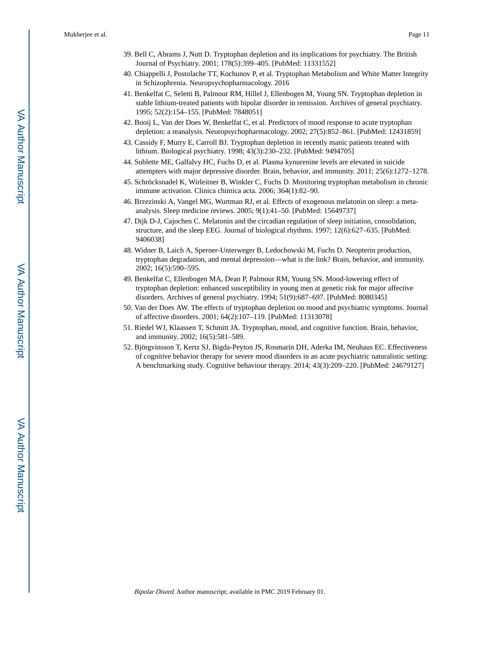- 39. Bell C, Abrams J, Nutt D. Tryptophan depletion and its implications for psychiatry. The British Journal of Psychiatry. 2001; 178(5):399–405. [PubMed: 11331552]
- 40. Chiappelli J, Postolache TT, Kochunov P, et al. Tryptophan Metabolism and White Matter Integrity in Schizophrenia. Neuropsychopharmacology. 2016
- 41. Benkelfat C, Seletti B, Palmour RM, Hillel J, Ellenbogen M, Young SN. Tryptophan depletion in stable lithium-treated patients with bipolar disorder in remission. Archives of general psychiatry. 1995; 52(2):154–155. [PubMed: 7848051]
- 42. Booij L, Van der Does W, Benkelfat C, et al. Predictors of mood response to acute tryptophan depletion: a reanalysis. Neuropsychopharmacology. 2002; 27(5):852–861. [PubMed: 12431859]
- 43. Cassidy F, Murry E, Carroll BJ. Tryptophan depletion in recently manic patients treated with lithium. Biological psychiatry. 1998; 43(3):230–232. [PubMed: 9494705]
- 44. Sublette ME, Galfalvy HC, Fuchs D, et al. Plasma kynurenine levels are elevated in suicide attempters with major depressive disorder. Brain, behavior, and immunity. 2011; 25(6):1272–1278.
- 45. Schröcksnadel K, Wirleitner B, Winkler C, Fuchs D. Monitoring tryptophan metabolism in chronic immune activation. Clinica chimica acta. 2006; 364(1):82–90.
- 46. Brzezinski A, Vangel MG, Wurtman RJ, et al. Effects of exogenous melatonin on sleep: a metaanalysis. Sleep medicine reviews. 2005; 9(1):41–50. [PubMed: 15649737]
- 47. Dijk D-J, Cajochen C. Melatonin and the circadian regulation of sleep initiation, consolidation, structure, and the sleep EEG. Journal of biological rhythms. 1997; 12(6):627–635. [PubMed: 9406038]
- 48. Widner B, Laich A, Sperner-Unterweger B, Ledochowski M, Fuchs D. Neopterin production, tryptophan degradation, and mental depression—what is the link? Brain, behavior, and immunity. 2002; 16(5):590–595.
- 49. Benkelfat C, Ellenbogen MA, Dean P, Palmour RM, Young SN. Mood-lowering effect of tryptophan depletion: enhanced susceptibility in young men at genetic risk for major affective disorders. Archives of general psychiatry. 1994; 51(9):687–697. [PubMed: 8080345]
- 50. Van der Does AW. The effects of tryptophan depletion on mood and psychiatric symptoms. Journal of affective disorders. 2001; 64(2):107–119. [PubMed: 11313078]
- 51. Riedel WJ, Klaassen T, Schmitt JA. Tryptophan, mood, and cognitive function. Brain, behavior, and immunity. 2002; 16(5):581–589.
- 52. Björgvinsson T, Kertz SJ, Bigda-Peyton JS, Rosmarin DH, Aderka IM, Neuhaus EC. Effectiveness of cognitive behavior therapy for severe mood disorders in an acute psychiatric naturalistic setting: A benchmarking study. Cognitive behaviour therapy. 2014; 43(3):209–220. [PubMed: 24679127]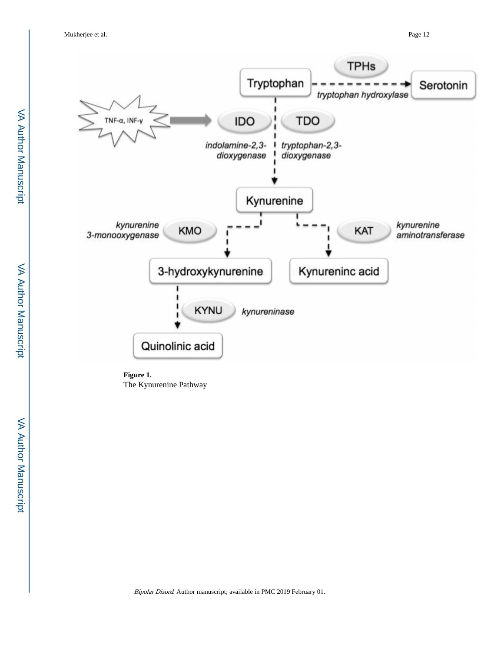

**Figure 1.**  The Kynurenine Pathway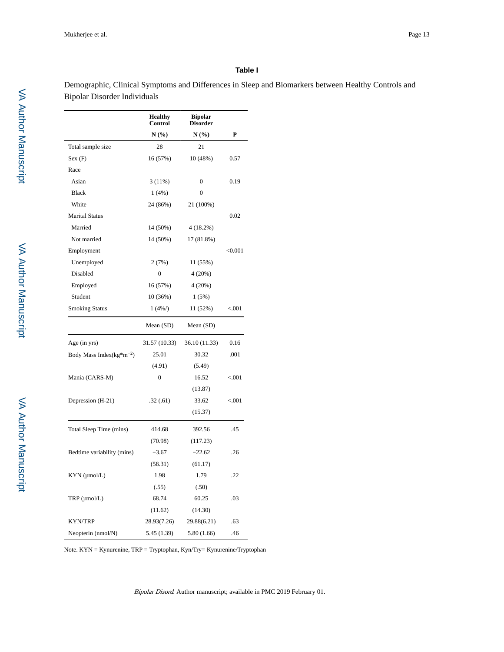#### **Table I**

Demographic, Clinical Symptoms and Differences in Sleep and Biomarkers between Healthy Controls and Bipolar Disorder Individuals

|                                 | <b>Healthy</b><br><b>Control</b> | <b>Bipolar</b><br><b>Disorder</b> |         |
|---------------------------------|----------------------------------|-----------------------------------|---------|
|                                 | N(%)                             | N(%)                              | P       |
| Total sample size               | 28                               | 21                                |         |
| Sex(F)                          | 16 (57%)                         | 10 (48%)                          | 0.57    |
| Race                            |                                  |                                   |         |
| Asian                           | 3(11%)                           | $\mathbf{0}$                      | 0.19    |
| <b>Black</b>                    | 1(4%)                            | $\mathbf{0}$                      |         |
| White                           | 24 (86%)                         | 21 (100%)                         |         |
| <b>Marital Status</b>           |                                  |                                   | 0.02    |
| Married                         | 14 (50%)                         | 4(18.2%)                          |         |
| Not married                     | 14 (50%)                         | 17 (81.8%)                        |         |
| Employment                      |                                  |                                   | < 0.001 |
| Unemployed                      | 2(7%)                            | 11 (55%)                          |         |
| Disabled                        | 0                                | $4(20\%)$                         |         |
| Employed                        | 16 (57%)                         | 4(20%)                            |         |
| Student                         | 10(36%)                          | 1(5%)                             |         |
| <b>Smoking Status</b>           | $1(4\%)$                         | 11 (52%)                          | < 0.001 |
|                                 | Mean (SD)                        | Mean (SD)                         |         |
| Age (in yrs)                    | 31.57 (10.33)                    | 36.10 (11.33)                     | 0.16    |
| Body Mass Index( $kg* m^{-2}$ ) | 25.01                            | 30.32                             | .001    |
|                                 | (4.91)                           | (5.49)                            |         |
| Mania (CARS-M)                  | 0                                | 16.52                             | < 0.001 |
|                                 |                                  | (13.87)                           |         |
| Depression (H-21)               | .32(.61)                         | 33.62                             | < 0.001 |
|                                 |                                  | (15.37)                           |         |
| Total Sleep Time (mins)         | 414.68                           | 392.56                            | .45     |
|                                 | (70.98)                          | (117.23)                          |         |
| Bedtime variability (mins)      | $-3.67$                          | $-22.62$                          | .26     |
|                                 | (58.31)                          | (61.17)                           |         |
| KYN (µmol/L)                    | 1.98                             | 1.79                              | .22     |
|                                 | (.55)                            | (.50)                             |         |
| TRP (µmol/L)                    | 68.74                            | 60.25                             | .03     |
|                                 |                                  | (14.30)                           |         |
|                                 | (11.62)                          |                                   |         |
| KYN/TRP                         | 28.93(7.26)                      | 29.88(6.21)                       | .63     |

Note. KYN = Kynurenine, TRP = Tryptophan, Kyn/Try= Kynurenine/Tryptophan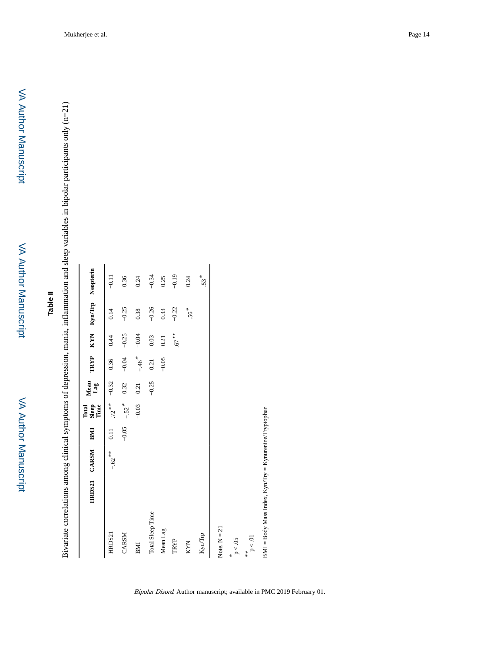VA Author Manuscript

VA Author Manuscript

Bivariate correlations among clinical symptoms of depression, mania, inflammation and sleep variables in bipolar participants only (n=21) Bivariate correlations among clinical symptoms of depression, mania, inflammation and sleep variables in bipolar participants only (n=21)

|                                                        | HRDS21 CARSM BMI |         | Sleep<br>Time<br>Total | Mean<br>Lag |                     |          |         | TRYP KYN Kyn/Trp Neopterin |
|--------------------------------------------------------|------------------|---------|------------------------|-------------|---------------------|----------|---------|----------------------------|
| HRDS21                                                 | $-.62**$         | 0.11    | $.72***$               | $-0.32$     | 0.36                | 0.44     | 0.14    | $-0.11$                    |
| CARSM                                                  |                  | $-0.05$ | $-.52$ <sup>*</sup>    | 0.32        | $-0.04$             | $-0.25$  | $-0.25$ | 0.36                       |
| BMI                                                    |                  |         | $-0.03$                | 0.21        | $-.46$ <sup>*</sup> | $-0.04$  | 0.38    | 0.24                       |
| <b>Total Sleep Time</b>                                |                  |         |                        | $-0.25$     | 0.21                | 0.03     | $-0.26$ | $-0.34$                    |
| Mean Lag                                               |                  |         |                        |             | $-0.05$             | 0.21     | 0.33    | 0.25                       |
| TRYP                                                   |                  |         |                        |             |                     | $.67***$ | $-0.22$ | $-0.19$                    |
| KYN                                                    |                  |         |                        |             |                     |          | $.56*$  | 0.24                       |
| Kyn/Trp                                                |                  |         |                        |             |                     |          |         | 53 *                       |
| Note, $N = 21$                                         |                  |         |                        |             |                     |          |         |                            |
| $\rm p < .05$<br>¥                                     |                  |         |                        |             |                     |          |         |                            |
| $\rm p < .01$<br>**                                    |                  |         |                        |             |                     |          |         |                            |
| BMI = Body Mass Index, Kyn/Try = Kynurenine/Tryptophan |                  |         |                        |             |                     |          |         |                            |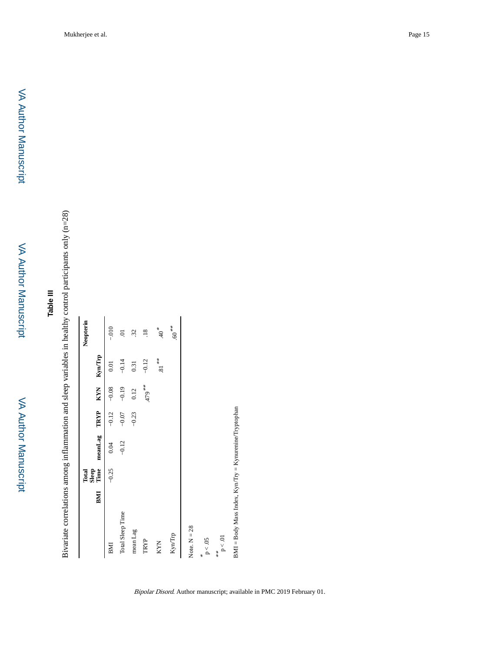# **Table III**

Bivariate correlations among inflammation and sleep variables in healthy control participants only (n=28) Bivariate correlations among inflammation and sleep variables in healthy control participants only (n=28)

|                  |     | Total         |              |         |            |                | Neopterin        |
|------------------|-----|---------------|--------------|---------|------------|----------------|------------------|
|                  | BMI | Sleep<br>Time | meanLag TRYP |         | <b>KYN</b> | Kyn/Irp        |                  |
| BMI              |     | $-0.25$       | 0.04         | $-0.12$ | $-0.08$    | 0.01           | $-010 -$         |
| Total Sleep Time |     |               | $-0.12$      | $-0.07$ | $-0.19$    | $-0.14$        | S                |
| mean Lag         |     |               |              | $-0.23$ | 0.12       | 0.31           | $\ddot{32}$      |
| TRYP             |     |               |              |         | ** 64r     | $-0.12$        | $\overline{.}18$ |
| <b>KYN</b>       |     |               |              |         |            | $81\,$ $^{**}$ | $*^{0+}$         |
| KynTrp           |     |               |              |         |            |                | $**$ 60.         |
| Note, $N = 28$   |     |               |              |         |            |                |                  |
| $p < .05$<br>¥   |     |               |              |         |            |                |                  |
| $p<.01$<br>***   |     |               |              |         |            |                |                  |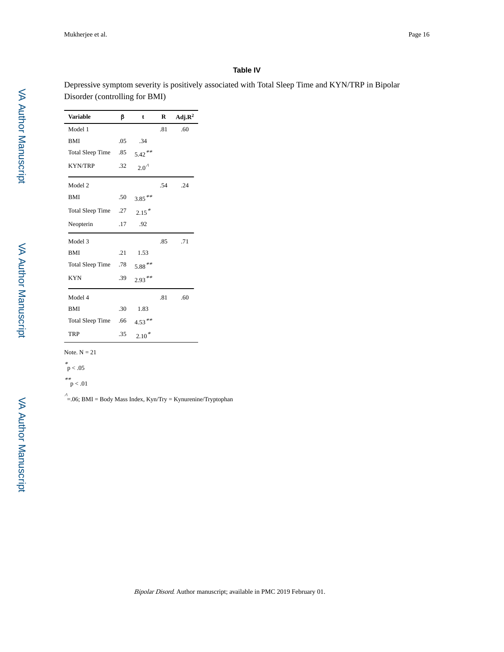#### **Table IV**

Depressive symptom severity is positively associated with Total Sleep Time and KYN/TRP in Bipolar Disorder (controlling for BMI)

| <b>Variable</b>      | β   | t              | R   | $Adj.R^2$ |
|----------------------|-----|----------------|-----|-----------|
| Model 1              |     |                | .81 | .60       |
| <b>BMI</b>           | .05 | .34            |     |           |
| Total Sleep Time     | .85 | $5.42***$      |     |           |
| <b>KYN/TRP</b>       | .32 | $2.0^{\prime}$ |     |           |
| Model 2              |     |                | .54 | .24       |
| <b>BMI</b>           | .50 | $3.85***$      |     |           |
| Total Sleep Time     | .27 | $2.15*$        |     |           |
| Neopterin            | .17 | .92            |     |           |
| Model 3              |     |                | .85 | .71       |
| <b>BMI</b>           | .21 | 1.53           |     |           |
| Total Sleep Time .78 |     | $5.88***$      |     |           |
| <b>KYN</b>           | .39 | $2.93***$      |     |           |
| Model 4              |     |                | .81 | .60       |
| <b>BMI</b>           | .30 | 1.83           |     |           |
| Total Sleep Time     | .66 | $4.53***$      |     |           |
| <b>TRP</b>           | .35 | $2.10*$        |     |           |

Note.  $N = 21$ 

\* p < .05

\*\* p < .01

 $\hat{=}$  =.06; BMI = Body Mass Index, Kyn/Try = Kynurenine/Tryptophan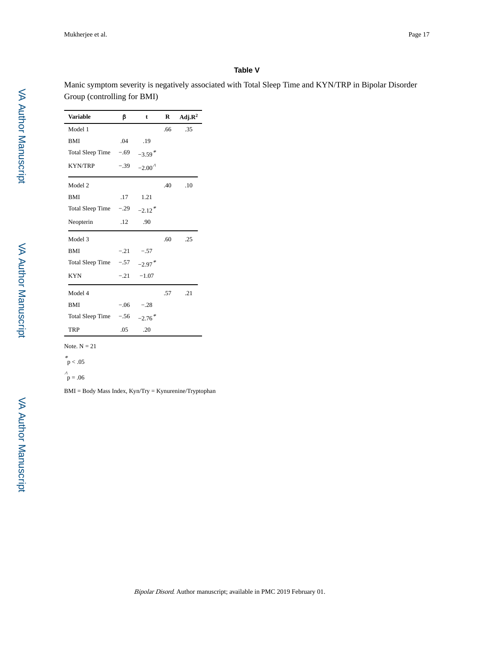#### **Table V**

Manic symptom severity is negatively associated with Total Sleep Time and KYN/TRP in Bipolar Disorder Group (controlling for BMI)

| <b>Variable</b>         | β      | t                    | R   | Adj. $\mathbb{R}^2$ |
|-------------------------|--------|----------------------|-----|---------------------|
| Model 1                 |        |                      | .66 | .35                 |
| <b>BMI</b>              | .04    | .19                  |     |                     |
| Total Sleep Time $-.69$ |        | $-3.59$ <sup>*</sup> |     |                     |
| <b>KYN/TRP</b>          | $-.39$ | $-2.00^{\prime}$     |     |                     |
| Model 2                 |        |                      | .40 | .10                 |
| <b>BMI</b>              | .17    | 1.21                 |     |                     |
| Total Sleep Time $-.29$ |        | $-2.12$ <sup>*</sup> |     |                     |
| Neopterin               | .12    | .90                  |     |                     |
| Model 3                 |        |                      | .60 | .25                 |
| <b>BMI</b>              | $-.21$ | $-.57$               |     |                     |
| Total Sleep Time        | $-.57$ | $-2.97$ <sup>*</sup> |     |                     |
| <b>KYN</b>              | $-.21$ | $-1.07$              |     |                     |
| Model 4                 |        |                      | .57 | .21                 |
| <b>BMI</b>              | $-.06$ | $-.28$               |     |                     |
| Total Sleep Time        | $-.56$ | $-2.76*$             |     |                     |
| TRP                     | .05    | .20                  |     |                     |

Note.  $N = 21$ 

\* p < .05

 $p = .06$ 

BMI = Body Mass Index, Kyn/Try = Kynurenine/Tryptophan

VA Author Manuscript VA Author Manuscript